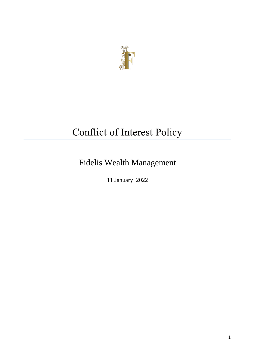

# Conflict of Interest Policy

## Fidelis Wealth Management

11 January 2022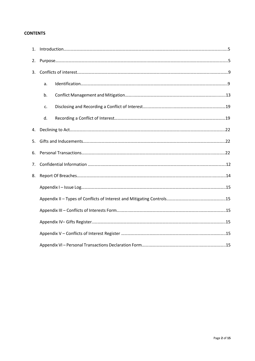## **CONTENTS**

| 2. |    |  |  |  |
|----|----|--|--|--|
|    |    |  |  |  |
|    | a. |  |  |  |
|    | b. |  |  |  |
|    | c. |  |  |  |
|    | d. |  |  |  |
| 4. |    |  |  |  |
| 5. |    |  |  |  |
| 6. |    |  |  |  |
| 7. |    |  |  |  |
| 8. |    |  |  |  |
|    |    |  |  |  |
|    |    |  |  |  |
|    |    |  |  |  |
|    |    |  |  |  |
|    |    |  |  |  |
|    |    |  |  |  |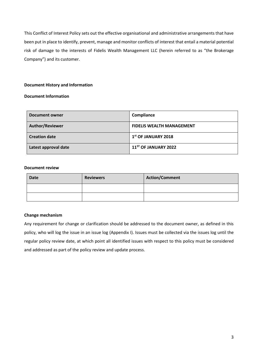This Conflict of Interest Policy sets out the effective organisational and administrative arrangements that have been put in place to identify, prevent, manage and monitor conflicts of interest that entail a material potential risk of damage to the interests of Fidelis Wealth Management LLC (herein referred to as "the Brokerage Company") and its customer.

## **Document History and Information**

## **Document Information**

| Document owner       | Compliance                       |
|----------------------|----------------------------------|
| Author/Reviewer      | <b>FIDELIS WEALTH MANAGEMENT</b> |
| <b>Creation date</b> | $1st$ OF JANUARY 2018            |
| Latest approval date | $11^{5T}$ OF JANUARY 2022        |

### **Document review**

| <b>Date</b> | <b>Reviewers</b> | <b>Action/Comment</b> |
|-------------|------------------|-----------------------|
|             |                  |                       |
|             |                  |                       |

## **Change mechanism**

Any requirement for change or clarification should be addressed to the document owner, as defined in this policy, who will log the issue in an issue log (Appendix I). Issues must be collected via the issues log until the regular policy review date, at which point all identified issues with respect to this policy must be considered and addressed as part of the policy review and update process.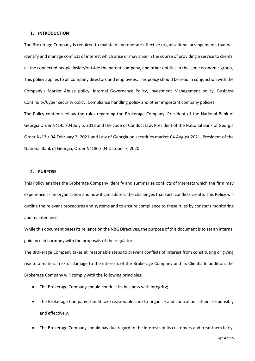#### **1. INTRODUCTION**

The Brokerage Company is required to maintain and operate effective organisational arrangements that will identify and manage conflicts of interest which arise or may arise in the course of providing a service to clients, all the connected people inside/outside the parent company, and other entities in the same economic group, This policy applies to all Company directors and employees. This policy should be read in conjunction with the Company's Market Abuse policy, Internal Governance Policy, Investment Management policy, Business Continuity/Cyber security policy, Compliance handling policy and other important company policies. The Policy contents follow the rules regarding the Brokerage Company, President of the National Bank of Georgia Order №145 /04 July 5, 2018 and the code of Conduct law, President of the National Bank of Georgia Order №13 / 04 February 2, 2021 and Law of Georgia on securities market 04 August 2021, President of the National Bank of Georgia, Order №180 / 04 October 7, 2020.

#### **2. PURPOSE**

This Policy enables the Brokerage Company identify and summarise conflicts of interests which the firm may experience as an organisation and how it can address the challenges that such conflicts create. This Policy will outline the relevant procedures and systems and to ensure compliance to these rules by constant monitoring and maintenance.

While this document bases its reliance on the NBG Directives, the purpose of this document is to set an internal guidance in harmony with the proposals of the regulator.

The Brokerage Company takes all reasonable steps to prevent conflicts of interest from constituting or giving rise to a material risk of damage to the interests of the Brokerage Company and its Clients. In addition, the Brokerage Company will comply with the following principles:

- The Brokerage Company should conduct its business with integrity;
- The Brokerage Company should take reasonable care to organise and control our affairs responsibly and effectively.
- The Brokerage Company should pay due regard to the interests of its customers and treat them fairly.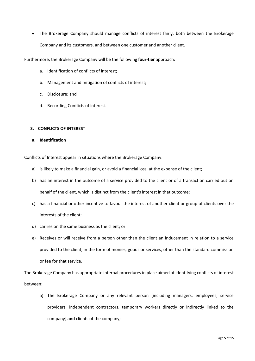The Brokerage Company should manage conflicts of interest fairly, both between the Brokerage Company and its customers, and between one customer and another client.

Furthermore, the Brokerage Company will be the following **four-tier** approach:

- a. Identification of conflicts of interest;
- b. Management and mitigation of conflicts of interest;
- c. Disclosure; and
- d. Recording Conflicts of interest.

## **3. CONFLICTS OF INTEREST**

**a. Identification**

Conflicts of Interest appear in situations where the Brokerage Company:

- a) is likely to make a financial gain, or avoid a financial loss, at the expense of the client;
- b) has an interest in the outcome of a service provided to the client or of a transaction carried out on behalf of the client, which is distinct from the client's interest in that outcome;
- c) has a financial or other incentive to favour the interest of another client or group of clients over the interests of the client;
- d) carries on the same business as the client; or
- e) Receives or will receive from a person other than the client an inducement in relation to a service provided to the client, in the form of monies, goods or services, other than the standard commission or fee for that service.

The Brokerage Company has appropriate internal procedures in place aimed at identifying conflicts of interest between:

a) The Brokerage Company or any relevant person [including managers, employees, service providers, independent contractors, temporary workers directly or indirectly linked to the company] **and** clients of the company;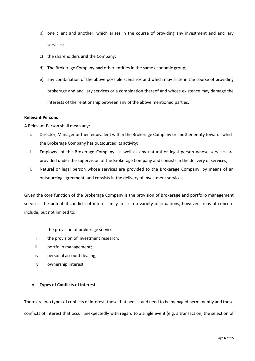- b) one client and another, which arises in the course of providing any investment and ancillary services;
- c) the shareholders **and** the Company;
- d) The Brokerage Company **and** other entities in the same economic group;
- e) any combination of the above possible scenarios and which may arise in the course of providing brokerage and ancillary services or a combination thereof and whose existence may damage the interests of the relationship between any of the above mentioned parties.

#### **Relevant Persons**

A Relevant Person shall mean any:

- i. Director, Manager or their equivalent within the Brokerage Company or another entity towards which the Brokerage Company has outsourced its activity;
- ii. Employee of the Brokerage Company, as well as any natural or legal person whose services are provided under the supervision of the Brokerage Company and consists in the delivery of services;
- iii. Natural or legal person whose services are provided to the Brokerage Company, by means of an outsourcing agreement, and consists in the delivery of investment services.

Given the core function of the Brokerage Company is the provision of Brokerage and portfolio management services, the potential conflicts of interest may arise in a variety of situations, however areas of concern include, but not limited to:

- i. the provision of brokerage services;
- ii. the provision of investment research;
- iii. portfolio management;
- iv. personal account dealing;
- v. ownership interest

## **Types of Conflicts of interest:**

There are two types of conflicts of interest, those that persist and need to be managed permanently and those conflicts of interest that occur unexpectedly with regard to a single event (e.g. a transaction, the selection of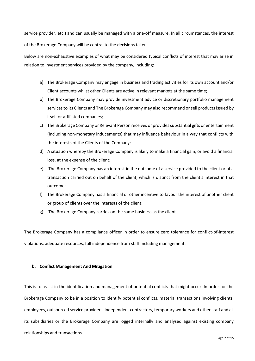service provider, etc.) and can usually be managed with a one-off measure. In all circumstances, the interest of the Brokerage Company will be central to the decisions taken.

Below are non-exhaustive examples of what may be considered typical conflicts of interest that may arise in relation to investment services provided by the company, including:

- a) The Brokerage Company may engage in business and trading activities for its own account and/or Client accounts whilst other Clients are active in relevant markets at the same time;
- b) The Brokerage Company may provide investment advice or discretionary portfolio management services to its Clients and The Brokerage Company may also recommend or sell products issued by itself or affiliated companies;
- c) The Brokerage Company or Relevant Person receives or provides substantial gifts or entertainment (including non-monetary inducements) that may influence behaviour in a way that conflicts with the interests of the Clients of the Company;
- d) A situation whereby the Brokerage Company is likely to make a financial gain, or avoid a financial loss, at the expense of the client;
- e) The Brokerage Company has an interest in the outcome of a service provided to the client or of a transaction carried out on behalf of the client, which is distinct from the client's interest in that outcome;
- f) The Brokerage Company has a financial or other incentive to favour the interest of another client or group of clients over the interests of the client;
- g) The Brokerage Company carries on the same business as the client.

The Brokerage Company has a compliance officer in order to ensure zero tolerance for conflict-of-interest violations, adequate resources, full independence from staff including management.

## **b. Conflict Management And Mitigation**

This is to assist in the identification and management of potential conflicts that might occur. In order for the Brokerage Company to be in a position to identify potential conflicts, material transactions involving clients, employees, outsourced service providers, independent contractors, temporary workers and other staff and all its subsidiaries or the Brokerage Company are logged internally and analysed against existing company relationships and transactions.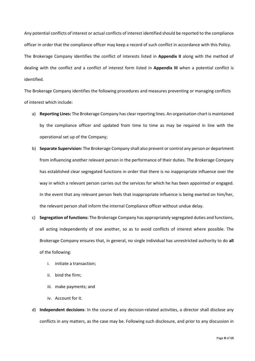Any potential conflicts of interest or actual conflicts of interest identified should be reported to the compliance officer in order that the compliance officer may keep a record of such conflict in accordance with this Policy. The Brokerage Company identifies the conflict of interests listed in **Appendix II** along with the method of dealing with the conflict and a conflict of interest form listed in **Appendix III** when a potential conflict is identified.

The Brokerage Company identifies the following procedures and measures preventing or managing conflicts of interest which include:

- a) **Reporting Lines:** The Brokerage Company has clear reporting lines. An organisation chart is maintained by the compliance officer and updated from time to time as may be required in line with the operational set up of the Company;
- b) **Separate Supervision:** The Brokerage Company shall also prevent or control any person or department from influencing another relevant person in the performance of their duties. The Brokerage Company has established clear segregated functions in order that there is no inappropriate influence over the way in which a relevant person carries out the services for which he has been appointed or engaged. In the event that any relevant person feels that inappropriate influence is being exerted on him/her, the relevant person shall inform the internal Compliance officer without undue delay.
- c) **Segregation of functions:** The Brokerage Company has appropriately segregated duties and functions, all acting independently of one another, so as to avoid conflicts of interest where possible. The Brokerage Company ensures that, in general, no single individual has unrestricted authority to do **all**  of the following:
	- i. initiate a transaction;
	- ii. bind the firm;
	- iii. make payments; and
	- iv. Account for it.
- d) **Independent decisions**: In the course of any decision-related activities, a director shall disclose any conflicts in any matters, as the case may be. Following such disclosure, and prior to any discussion in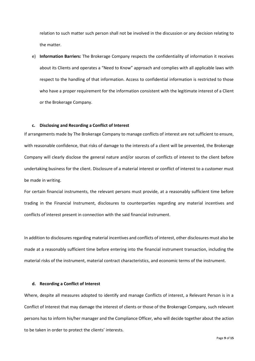relation to such matter such person shall not be involved in the discussion or any decision relating to the matter.

e) **Information Barriers:** The Brokerage Company respects the confidentiality of information it receives about its Clients and operates a "Need to Know" approach and complies with all applicable laws with respect to the handling of that information. Access to confidential information is restricted to those who have a proper requirement for the information consistent with the legitimate interest of a Client or the Brokerage Company.

#### **c. Disclosing and Recording a Conflict of Interest**

If arrangements made by The Brokerage Company to manage conflicts of interest are not sufficient to ensure, with reasonable confidence, that risks of damage to the interests of a client will be prevented, the Brokerage Company will clearly disclose the general nature and/or sources of conflicts of interest to the client before undertaking business for the client. Disclosure of a material interest or conflict of interest to a customer must be made in writing.

For certain financial instruments, the relevant persons must provide, at a reasonably sufficient time before trading in the Financial Instrument, disclosures to counterparties regarding any material incentives and conflicts of interest present in connection with the said financial instrument.

In addition to disclosures regarding material incentives and conflicts of interest, other disclosures must also be made at a reasonably sufficient time before entering into the financial instrument transaction, including the material risks of the instrument, material contract characteristics, and economic terms of the instrument.

#### **d. Recording a Conflict of Interest**

Where, despite all measures adopted to identify and manage Conflicts of interest, a Relevant Person is in a Conflict of Interest that may damage the interest of clients or those of the Brokerage Company, such relevant persons has to inform his/her manager and the Compliance Officer, who will decide together about the action to be taken in order to protect the clients' interests.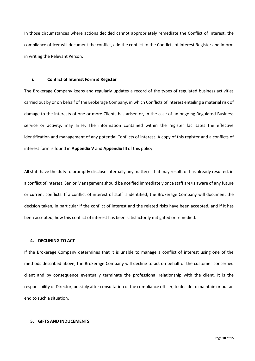In those circumstances where actions decided cannot appropriately remediate the Conflict of Interest, the compliance officer will document the conflict, add the conflict to the Conflicts of interest Register and inform in writing the Relevant Person.

#### **i. Conflict of Interest Form & Register**

The Brokerage Company keeps and regularly updates a record of the types of regulated business activities carried out by or on behalf of the Brokerage Company, in which Conflicts of interest entailing a material risk of damage to the interests of one or more Clients has arisen or, in the case of an ongoing Regulated Business service or activity, may arise. The information contained within the register facilitates the effective identification and management of any potential Conflicts of interest. A copy of this register and a conflicts of interest form is found in **Appendix V** and **Appendix III** of this policy.

All staff have the duty to promptly disclose internally any matter/s that may result, or has already resulted, in a conflict of interest. Senior Management should be notified immediately once staff are/is aware of any future or current conflicts. If a conflict of interest of staff is identified, the Brokerage Company will document the decision taken, in particular if the conflict of interest and the related risks have been accepted, and if it has been accepted, how this conflict of interest has been satisfactorily mitigated or remedied.

#### **4. DECLINING TO ACT**

If the Brokerage Company determines that it is unable to manage a conflict of interest using one of the methods described above, the Brokerage Company will decline to act on behalf of the customer concerned client and by consequence eventually terminate the professional relationship with the client. It is the responsibility of Director, possibly after consultation of the compliance officer, to decide to maintain or put an end to such a situation.

#### **5. GIFTS AND INDUCEMENTS**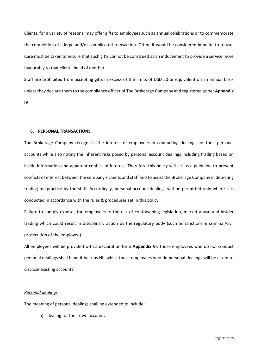Clients, for a variety of reasons, may offer gifts to employees such as annual celebrations or to commemorate the completion of a large and/or complicated transaction. Often, it would be considered impolite to refuse. Care must be taken to ensure that such gifts cannot be construed as an inducement to provide a service more favourably to that client ahead of another.

Staff are prohibited from accepting gifts in excess of the limits of USD 50 or equivalent on an annual basis unless they declare them to the compliance officer of The Brokerage Company and registered as per **Appendix IV**.

#### **6. PERSONAL TRANSACTIONS**

The Brokerage Company recognises the interest of employees in conducting dealings for their personal accounts while also noting the inherent risks posed by personal account dealings including trading based on inside information and apparent conflict of interest. Therefore this policy will act as a guideline to prevent conflicts of interest between the company's clients and staff and to assist the Brokerage Company in detecting trading malpractice by the staff. Accordingly, personal account dealings will be permitted only where it is conducted in accordance with the rules & procedures set in this policy.

Failure to comply exposes the employees to the risk of contravening legislation, market abuse and insider trading which could result in disciplinary action by the regulatory body (such as sanctions & criminal/civil prosecution of the employee).

All employees will be provided with a declaration form **Appendix VI**. Those employees who do not conduct personal dealings shall hand it back as NIL whilst those employees who do personal dealings will be asked to disclose existing accounts.

#### *Personal dealings*

The meaning of personal dealings shall be extended to include:

a) dealing for their own account,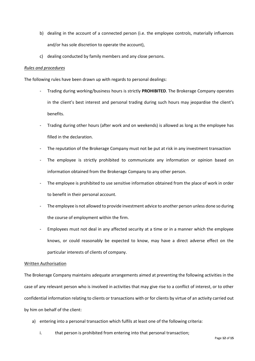- b) dealing in the account of a connected person (i.e. the employee controls, materially influences and/or has sole discretion to operate the account),
- c) dealing conducted by family members and any close persons.

## *Rules and procedures*

The following rules have been drawn up with regards to personal dealings:

- Trading during working/business hours is strictly **PROHIBITED**. The Brokerage Company operates in the client's best interest and personal trading during such hours may jeopardise the client's benefits.
- Trading during other hours (after work and on weekends) is allowed as long as the employee has filled in the declaration.
- The reputation of the Brokerage Company must not be put at risk in any investment transaction
- The employee is strictly prohibited to communicate any information or opinion based on information obtained from the Brokerage Company to any other person.
- The employee is prohibited to use sensitive information obtained from the place of work in order to benefit in their personal account.
- The employee is not allowed to provide investment advice to another person unless done so during the course of employment within the firm.
- Employees must not deal in any affected security at a time or in a manner which the employee knows, or could reasonably be expected to know, may have a direct adverse effect on the particular interests of clients of company.

## Written Authorisation

The Brokerage Company maintains adequate arrangements aimed at preventing the following activities in the case of any relevant person who is involved in activities that may give rise to a conflict of interest, or to other confidential information relating to clients or transactions with or for clients by virtue of an activity carried out by him on behalf of the client:

- a) entering into a personal transaction which fulfils at least one of the following criteria:
	- i. that person is prohibited from entering into that personal transaction;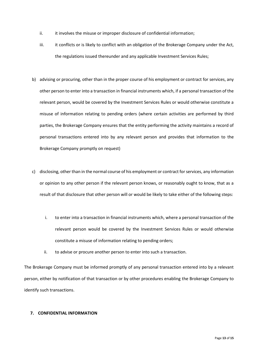- ii. it involves the misuse or improper disclosure of confidential information;
- iii. it conflicts or is likely to conflict with an obligation of the Brokerage Company under the Act, the regulations issued thereunder and any applicable Investment Services Rules;
- b) advising or procuring, other than in the proper course of his employment or contract for services, any other person to enter into a transaction in financial instruments which, if a personal transaction of the relevant person, would be covered by the Investment Services Rules or would otherwise constitute a misuse of information relating to pending orders (where certain activities are performed by third parties, the Brokerage Company ensures that the entity performing the activity maintains a record of personal transactions entered into by any relevant person and provides that information to the Brokerage Company promptly on request)
- c) disclosing, other than in the normal course of his employment or contract for services, any information or opinion to any other person if the relevant person knows, or reasonably ought to know, that as a result of that disclosure that other person will or would be likely to take either of the following steps:
	- i. to enter into a transaction in financial instruments which, where a personal transaction of the relevant person would be covered by the Investment Services Rules or would otherwise constitute a misuse of information relating to pending orders;
	- ii. to advise or procure another person to enter into such a transaction.

The Brokerage Company must be informed promptly of any personal transaction entered into by a relevant person, either by notification of that transaction or by other procedures enabling the Brokerage Company to identify such transactions.

## **7. CONFIDENTIAL INFORMATION**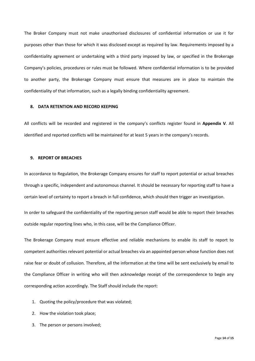The Broker Company must not make unauthorised disclosures of confidential information or use it for purposes other than those for which it was disclosed except as required by law. Requirements imposed by a confidentiality agreement or undertaking with a third party imposed by law, or specified in the Brokerage Company's policies, procedures or rules must be followed. Where confidential information is to be provided to another party, the Brokerage Company must ensure that measures are in place to maintain the confidentiality of that information, such as a legally binding confidentiality agreement.

#### **8. DATA RETENTION AND RECORD KEEPING**

All conflicts will be recorded and registered in the company's conflicts register found in **Appendix V**. All identified and reported conflicts will be maintained for at least 5 years in the company's records.

## **9. REPORT OF BREACHES**

In accordance to Regulation, the Brokerage Company ensures for staff to report potential or actual breaches through a specific, independent and autonomous channel. It should be necessary for reporting staff to have a certain level of certainty to report a breach in full confidence, which should then trigger an investigation.

In order to safeguard the confidentiality of the reporting person staff would be able to report their breaches outside regular reporting lines who, in this case, will be the Compliance Officer.

The Brokerage Company must ensure effective and reliable mechanisms to enable its staff to report to competent authorities relevant potential or actual breaches via an appointed person whose function does not raise fear or doubt of collusion. Therefore, all the information at the time will be sent exclusively by email to the Compliance Officer in writing who will then acknowledge receipt of the correspondence to begin any corresponding action accordingly. The Staff should include the report:

- 1. Quoting the policy/procedure that was violated;
- 2. How the violation took place;
- 3. The person or persons involved;